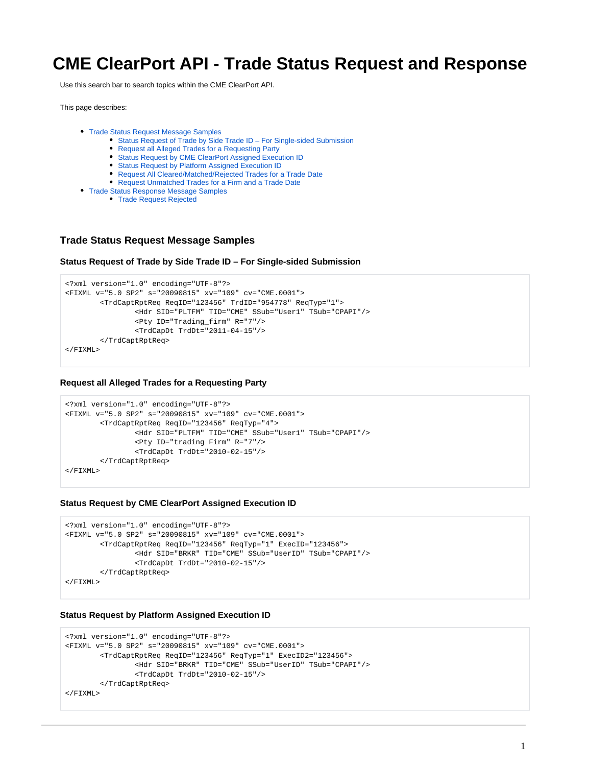# **CME ClearPort API - Trade Status Request and Response**

Use this search bar to search topics within the CME ClearPort API.

This page describes:

- [Trade Status Request Message Samples](#page-0-0)
	- [Status Request of Trade by Side Trade ID For Single-sided Submission](#page-0-1)
	- [Request all Alleged Trades for a Requesting Party](#page-0-2)
	- [Status Request by CME ClearPort Assigned Execution ID](#page-0-3)
	- [Status Request by Platform Assigned Execution ID](#page-0-4)
	- [Request All Cleared/Matched/Rejected Trades for a Trade Date](#page-0-5)
	- [Request Unmatched Trades for a Firm and a Trade Date](#page-1-0)
- [Trade Status Response Message Samples](#page-1-1)
	- [Trade Request Rejected](#page-1-2)

### <span id="page-0-0"></span>**Trade Status Request Message Samples**

<span id="page-0-1"></span>**Status Request of Trade by Side Trade ID – For Single-sided Submission** 

```
<?xml version="1.0" encoding="UTF-8"?>
<FIXML v="5.0 SP2" s="20090815" xv="109" cv="CME.0001">
         <TrdCaptRptReq ReqID="123456" TrdID="954778" ReqTyp="1">
                 <Hdr SID="PLTFM" TID="CME" SSub="User1" TSub="CPAPI"/>
                 <Pty ID="Trading_firm" R="7"/>
                 <TrdCapDt TrdDt="2011-04-15"/>
         </TrdCaptRptReq>
</FIXML>
```
#### <span id="page-0-2"></span>**Request all Alleged Trades for a Requesting Party**

```
<?xml version="1.0" encoding="UTF-8"?>
<FIXML v="5.0 SP2" s="20090815" xv="109" cv="CME.0001">
         <TrdCaptRptReq ReqID="123456" ReqTyp="4">
                 <Hdr SID="PLTFM" TID="CME" SSub="User1" TSub="CPAPI"/>
                 <Pty ID="trading Firm" R="7"/>
                 <TrdCapDt TrdDt="2010-02-15"/>
         </TrdCaptRptReq>
</FIXML>
```
#### <span id="page-0-3"></span>**Status Request by CME ClearPort Assigned Execution ID**

```
<?xml version="1.0" encoding="UTF-8"?>
<FIXML v="5.0 SP2" s="20090815" xv="109" cv="CME.0001">
         <TrdCaptRptReq ReqID="123456" ReqTyp="1" ExecID="123456">
                 <Hdr SID="BRKR" TID="CME" SSub="UserID" TSub="CPAPI"/>
                 <TrdCapDt TrdDt="2010-02-15"/>
         </TrdCaptRptReq>
</FIXML>
```
#### <span id="page-0-4"></span>**Status Request by Platform Assigned Execution ID**

```
<?xml version="1.0" encoding="UTF-8"?>
<FIXML v="5.0 SP2" s="20090815" xv="109" cv="CME.0001">
         <TrdCaptRptReq ReqID="123456" ReqTyp="1" ExecID2="123456">
                 <Hdr SID="BRKR" TID="CME" SSub="UserID" TSub="CPAPI"/>
                 <TrdCapDt TrdDt="2010-02-15"/>
         </TrdCaptRptReq>
</FIXML>
```